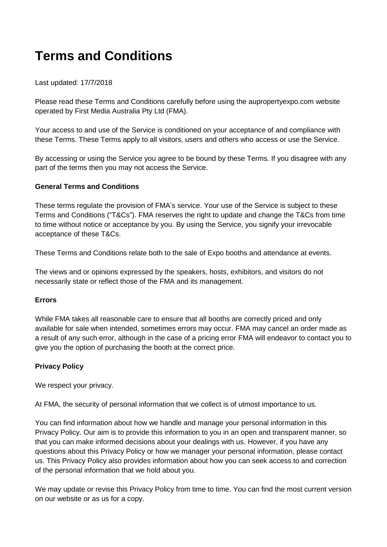# **Terms and Conditions**

# Last updated: 17/7/2018

Please read these Terms and Conditions carefully before using the aupropertyexpo.com website operated by First Media Australia Pty Ltd (FMA).

Your access to and use of the Service is conditioned on your acceptance of and compliance with these Terms. These Terms apply to all visitors, users and others who access or use the Service.

By accessing or using the Service you agree to be bound by these Terms. If you disagree with any part of the terms then you may not access the Service.

# **General Terms and Conditions**

These terms regulate the provision of FMA's service. Your use of the Service is subject to these Terms and Conditions ("T&Cs"). FMA reserves the right to update and change the T&Cs from time to time without notice or acceptance by you. By using the Service, you signify your irrevocable acceptance of these T&Cs.

These Terms and Conditions relate both to the sale of Expo booths and attendance at events.

The views and or opinions expressed by the speakers, hosts, exhibitors, and visitors do not necessarily state or reflect those of the FMA and its management.

### **Errors**

While FMA takes all reasonable care to ensure that all booths are correctly priced and only available for sale when intended, sometimes errors may occur. FMA may cancel an order made as a result of any such error, although in the case of a pricing error FMA will endeavor to contact you to give you the option of purchasing the booth at the correct price.

# **Privacy Policy**

We respect your privacy.

At FMA, the security of personal information that we collect is of utmost importance to us.

You can find information about how we handle and manage your personal information in this Privacy Policy. Our aim is to provide this information to you in an open and transparent manner, so that you can make informed decisions about your dealings with us. However, if you have any questions about this Privacy Policy or how we manager your personal information, please contact us. This Privacy Policy also provides information about how you can seek access to and correction of the personal information that we hold about you.

We may update or revise this Privacy Policy from time to time. You can find the most current version on our website or as us for a copy.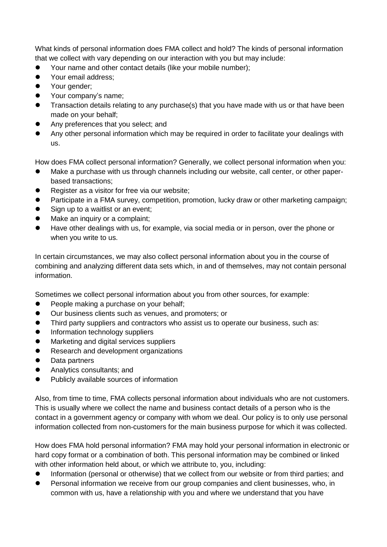What kinds of personal information does FMA collect and hold? The kinds of personal information that we collect with vary depending on our interaction with you but may include:

- Your name and other contact details (like your mobile number);
- Your email address:
- Your gender;
- Your company's name;
- Transaction details relating to any purchase(s) that you have made with us or that have been made on your behalf;
- Any preferences that you select; and
- Any other personal information which may be required in order to facilitate your dealings with us.

How does FMA collect personal information? Generally, we collect personal information when you:

- Make a purchase with us through channels including our website, call center, or other paperbased transactions;
- Register as a visitor for free via our website;
- Participate in a FMA survey, competition, promotion, lucky draw or other marketing campaign;
- Sign up to a waitlist or an event;
- Make an inquiry or a complaint:
- Have other dealings with us, for example, via social media or in person, over the phone or when you write to us.

In certain circumstances, we may also collect personal information about you in the course of combining and analyzing different data sets which, in and of themselves, may not contain personal information.

Sometimes we collect personal information about you from other sources, for example:

- People making a purchase on your behalf;
- Our business clients such as venues, and promoters; or
- Third party suppliers and contractors who assist us to operate our business, such as:
- Information technology suppliers
- **•** Marketing and digital services suppliers
- **•** Research and development organizations
- Data partners
- **•** Analytics consultants; and
- Publicly available sources of information

Also, from time to time, FMA collects personal information about individuals who are not customers. This is usually where we collect the name and business contact details of a person who is the contact in a government agency or company with whom we deal. Our policy is to only use personal information collected from non-customers for the main business purpose for which it was collected.

How does FMA hold personal information? FMA may hold your personal information in electronic or hard copy format or a combination of both. This personal information may be combined or linked with other information held about, or which we attribute to, you, including:

- Information (personal or otherwise) that we collect from our website or from third parties; and
- Personal information we receive from our group companies and client businesses, who, in common with us, have a relationship with you and where we understand that you have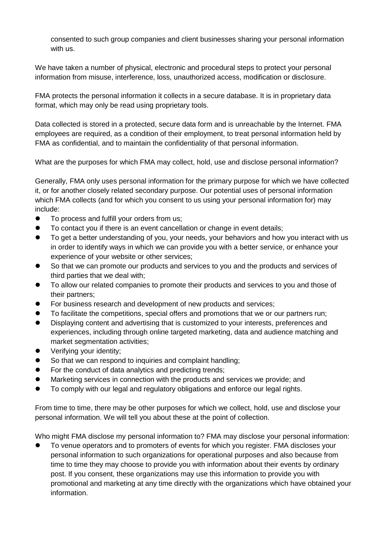consented to such group companies and client businesses sharing your personal information with us.

We have taken a number of physical, electronic and procedural steps to protect your personal information from misuse, interference, loss, unauthorized access, modification or disclosure.

FMA protects the personal information it collects in a secure database. It is in proprietary data format, which may only be read using proprietary tools.

Data collected is stored in a protected, secure data form and is unreachable by the Internet. FMA employees are required, as a condition of their employment, to treat personal information held by FMA as confidential, and to maintain the confidentiality of that personal information.

What are the purposes for which FMA may collect, hold, use and disclose personal information?

Generally, FMA only uses personal information for the primary purpose for which we have collected it, or for another closely related secondary purpose. Our potential uses of personal information which FMA collects (and for which you consent to us using your personal information for) may include:

- $\bullet$  To process and fulfill your orders from us:
- To contact you if there is an event cancellation or change in event details;
- To get a better understanding of you, your needs, your behaviors and how you interact with us in order to identify ways in which we can provide you with a better service, or enhance your experience of your website or other services;
- So that we can promote our products and services to you and the products and services of third parties that we deal with;
- To allow our related companies to promote their products and services to you and those of their partners;
- For business research and development of new products and services;
- To facilitate the competitions, special offers and promotions that we or our partners run;
- Displaying content and advertising that is customized to your interests, preferences and experiences, including through online targeted marketing, data and audience matching and market segmentation activities;
- Verifying your identity;
- So that we can respond to inquiries and complaint handling:
- For the conduct of data analytics and predicting trends;
- Marketing services in connection with the products and services we provide; and
- To comply with our legal and regulatory obligations and enforce our legal rights.

From time to time, there may be other purposes for which we collect, hold, use and disclose your personal information. We will tell you about these at the point of collection.

Who might FMA disclose my personal information to? FMA may disclose your personal information:

 To venue operators and to promoters of events for which you register. FMA discloses your personal information to such organizations for operational purposes and also because from time to time they may choose to provide you with information about their events by ordinary post. If you consent, these organizations may use this information to provide you with promotional and marketing at any time directly with the organizations which have obtained your information.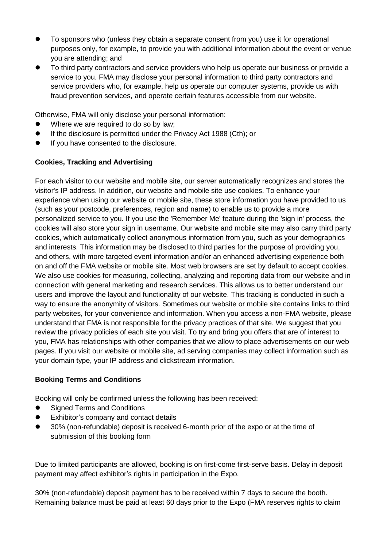- To sponsors who (unless they obtain a separate consent from you) use it for operational purposes only, for example, to provide you with additional information about the event or venue you are attending; and
- To third party contractors and service providers who help us operate our business or provide a service to you. FMA may disclose your personal information to third party contractors and service providers who, for example, help us operate our computer systems, provide us with fraud prevention services, and operate certain features accessible from our website.

Otherwise, FMA will only disclose your personal information:

- Where we are required to do so by law;
- **If the disclosure is permitted under the Privacy Act 1988 (Cth); or**
- **If you have consented to the disclosure.**

# **Cookies, Tracking and Advertising**

For each visitor to our website and mobile site, our server automatically recognizes and stores the visitor's IP address. In addition, our website and mobile site use cookies. To enhance your experience when using our website or mobile site, these store information you have provided to us (such as your postcode, preferences, region and name) to enable us to provide a more personalized service to you. If you use the 'Remember Me' feature during the 'sign in' process, the cookies will also store your sign in username. Our website and mobile site may also carry third party cookies, which automatically collect anonymous information from you, such as your demographics and interests. This information may be disclosed to third parties for the purpose of providing you, and others, with more targeted event information and/or an enhanced advertising experience both on and off the FMA website or mobile site. Most web browsers are set by default to accept cookies. We also use cookies for measuring, collecting, analyzing and reporting data from our website and in connection with general marketing and research services. This allows us to better understand our users and improve the layout and functionality of our website. This tracking is conducted in such a way to ensure the anonymity of visitors. Sometimes our website or mobile site contains links to third party websites, for your convenience and information. When you access a non-FMA website, please understand that FMA is not responsible for the privacy practices of that site. We suggest that you review the privacy policies of each site you visit. To try and bring you offers that are of interest to you, FMA has relationships with other companies that we allow to place advertisements on our web pages. If you visit our website or mobile site, ad serving companies may collect information such as your domain type, your IP address and clickstream information.

### **Booking Terms and Conditions**

Booking will only be confirmed unless the following has been received:

- Signed Terms and Conditions
- Exhibitor's company and contact details
- 30% (non-refundable) deposit is received 6-month prior of the expo or at the time of submission of this booking form

Due to limited participants are allowed, booking is on first-come first-serve basis. Delay in deposit payment may affect exhibitor's rights in participation in the Expo.

30% (non-refundable) deposit payment has to be received within 7 days to secure the booth. Remaining balance must be paid at least 60 days prior to the Expo (FMA reserves rights to claim